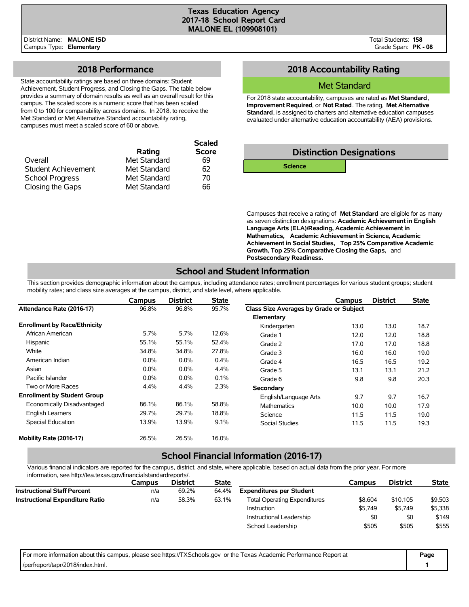**Scaled**

Total Students: **158** Grade Span: **PK - 08**

## **2018 Performance**

State accountability ratings are based on three domains: Student Achievement, Student Progress, and Closing the Gaps. The table below provides a summary of domain results as well as an overall result for this campus. The scaled score is a numeric score that has been scaled from 0 to 100 for comparability across domains. In 2018, to receive the Met Standard or Met Alternative Standard accountability rating, campuses must meet a scaled score of 60 or above.

|              | <b>Scaled</b> |
|--------------|---------------|
| Rating       | <b>Score</b>  |
| Met Standard | 69            |
| Met Standard | 62            |
| Met Standard | 70            |
| Met Standard | 66            |
|              |               |

# **2018 Accountability Rating**

### Met Standard

For 2018 state accountability, campuses are rated as **Met Standard**, **Improvement Required**, or **Not Rated**. The rating, **Met Alternative Standard**, is assigned to charters and alternative education campuses evaluated under alternative education accountability (AEA) provisions.



Campuses that receive a rating of **Met Standard** are eligible for as many as seven distinction designations: **Academic Achievement in English Language Arts (ELA)/Reading, Academic Achievement in Mathematics, Academic Achievement in Science, Academic Achievement in Social Studies, Top 25% Comparative Academic Growth, Top 25% Comparative Closing the Gaps,** and **Postsecondary Readiness.**

# **School and Student Information**

This section provides demographic information about the campus, including attendance rates; enrollment percentages for various student groups; student mobility rates; and class size averages at the campus, district, and state level, where applicable.

|                                     | Campus  | <b>District</b> | <b>State</b> |                                         | Campus | <b>District</b> | <b>State</b> |
|-------------------------------------|---------|-----------------|--------------|-----------------------------------------|--------|-----------------|--------------|
| Attendance Rate (2016-17)           | 96.8%   | 96.8%           | 95.7%        | Class Size Averages by Grade or Subject |        |                 |              |
|                                     |         |                 |              | Elementary                              |        |                 |              |
| <b>Enrollment by Race/Ethnicity</b> |         |                 |              | Kindergarten                            | 13.0   | 13.0            | 18.7         |
| African American                    | 5.7%    | 5.7%            | 12.6%        | Grade 1                                 | 12.0   | 12.0            | 18.8         |
| Hispanic                            | 55.1%   | 55.1%           | 52.4%        | Grade 2                                 | 17.0   | 17.0            | 18.8         |
| White                               | 34.8%   | 34.8%           | 27.8%        | Grade 3                                 | 16.0   | 16.0            | 19.0         |
| American Indian                     | $0.0\%$ | $0.0\%$         | $0.4\%$      | Grade 4                                 | 16.5   | 16.5            | 19.2         |
| Asian                               | $0.0\%$ | $0.0\%$         | 4.4%         | Grade 5                                 | 13.1   | 13.1            | 21.2         |
| Pacific Islander                    | $0.0\%$ | $0.0\%$         | 0.1%         | Grade 6                                 | 9.8    | 9.8             | 20.3         |
| Two or More Races                   | 4.4%    | 4.4%            | 2.3%         | Secondary                               |        |                 |              |
| <b>Enrollment by Student Group</b>  |         |                 |              | English/Language Arts                   | 9.7    | 9.7             | 16.7         |
| Economically Disadvantaged          | 86.1%   | 86.1%           | 58.8%        | <b>Mathematics</b>                      | 10.0   | 10.0            | 17.9         |
| <b>English Learners</b>             | 29.7%   | 29.7%           | 18.8%        | Science                                 | 11.5   | 11.5            | 19.0         |
| Special Education                   | 13.9%   | 13.9%           | 9.1%         | Social Studies                          | 11.5   | 11.5            | 19.3         |
| Mobility Rate (2016-17)             | 26.5%   | 26.5%           | 16.0%        |                                         |        |                 |              |

### **School Financial Information (2016-17)**

Various financial indicators are reported for the campus, district, and state, where applicable, based on actual data from the prior year. For more information, see http://tea.texas.gov/financialstandardreports/.

|                                        | Campus | <b>District</b> | <b>State</b> |                                     | Campus  | <b>District</b> | <b>State</b> |
|----------------------------------------|--------|-----------------|--------------|-------------------------------------|---------|-----------------|--------------|
| <b>Instructional Staff Percent</b>     | n/a    | 69.2%           | 64.4%        | <b>Expenditures per Student</b>     |         |                 |              |
| <b>Instructional Expenditure Ratio</b> | n/a    | 58.3%           | 63.1%        | <b>Total Operating Expenditures</b> | \$8,604 | \$10,105        | \$9,503      |
|                                        |        |                 |              | Instruction                         | \$5.749 | \$5.749         | \$5,338      |
|                                        |        |                 |              | Instructional Leadership            | \$0     | \$0             | \$149        |
|                                        |        |                 |              | School Leadership                   | \$505   | \$505           | \$555        |

| For more information about this campus, please see https://TXSchools.gov or the Texas Academic Performance Report at | Page |
|----------------------------------------------------------------------------------------------------------------------|------|
| /perfreport/tapr/2018/index.html.                                                                                    |      |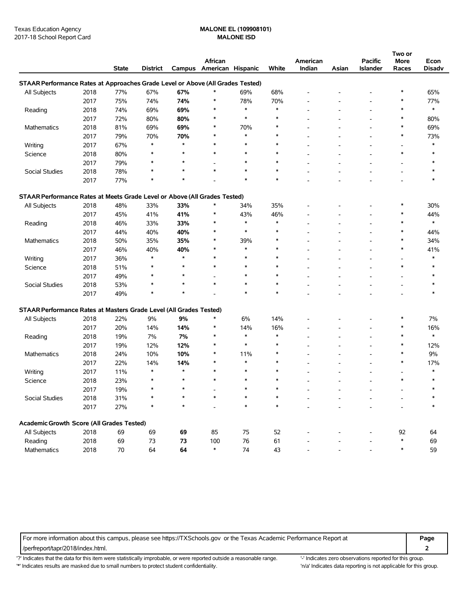|                                                                                |      |              |                 |         |                              |               |               |                    |       |                            | Two or                   |                       |
|--------------------------------------------------------------------------------|------|--------------|-----------------|---------|------------------------------|---------------|---------------|--------------------|-------|----------------------------|--------------------------|-----------------------|
|                                                                                |      | <b>State</b> | <b>District</b> | Campus  | African<br>American Hispanic |               | White         | American<br>Indian | Asian | <b>Pacific</b><br>Islander | More<br>Races            | Econ<br><b>Disadv</b> |
| STAAR Performance Rates at Approaches Grade Level or Above (All Grades Tested) |      |              |                 |         |                              |               |               |                    |       |                            |                          |                       |
| All Subjects                                                                   | 2018 | 77%          | 67%             | 67%     | $\ast$                       | 69%           | 68%           |                    |       |                            | $\ast$                   | 65%                   |
|                                                                                | 2017 | 75%          | 74%             | 74%     | *                            | 78%           | 70%           |                    |       | ۰                          | $\ast$                   | 77%                   |
| Reading                                                                        | 2018 | 74%          | 69%             | 69%     | $\ast$                       | $\ast$        | $\ast$        |                    |       | $\overline{a}$             | $\ast$                   | $\ast$                |
|                                                                                | 2017 | 72%          | 80%             | 80%     | ∗                            | $\ast$        | $\ast$        |                    |       | $\overline{a}$             | ∗                        | 80%                   |
| Mathematics                                                                    | 2018 | 81%          | 69%             | 69%     | *                            | 70%           | $\ast$        |                    |       | ٠                          | $\ast$                   | 69%                   |
|                                                                                | 2017 | 79%          | 70%             | 70%     | $\ast$                       | $\ast$        | $\ast$        |                    |       |                            | $\ast$                   | 73%                   |
| Writing                                                                        | 2017 | 67%          | $\ast$          | $\star$ | $\ast$                       | $\ast$        | $\ast$        |                    |       | ۰                          | $\overline{\phantom{a}}$ | $\ast$                |
| Science                                                                        | 2018 | 80%          | $\ast$          | $\star$ | $\ast$                       | $\ast$        | $\ast$        |                    |       | $\overline{\phantom{a}}$   | $\ast$                   | $\ast$                |
|                                                                                | 2017 | 79%          | $\ast$          | $\star$ |                              | $\ast$        | $\ast$        |                    |       | $\overline{a}$             | $\overline{\phantom{a}}$ | $\ast$                |
| Social Studies                                                                 | 2018 | 78%          | ∗               | $\star$ | $\ast$                       | $\ast$        | $\ast$        |                    |       |                            | $\overline{\phantom{a}}$ | $\ast$                |
|                                                                                | 2017 | 77%          | $\ast$          | $\star$ |                              | $\ast$        | $\ast$        |                    |       |                            |                          | $\ast$                |
|                                                                                |      |              |                 |         |                              |               |               |                    |       |                            |                          |                       |
| STAAR Performance Rates at Meets Grade Level or Above (All Grades Tested)      |      |              |                 |         |                              |               |               |                    |       |                            |                          |                       |
| All Subjects                                                                   | 2018 | 48%          | 33%             | 33%     | *                            | 34%           | 35%           |                    |       |                            | $\ast$                   | 30%                   |
|                                                                                | 2017 | 45%          | 41%             | 41%     | *                            | 43%           | 46%           |                    |       | $\overline{a}$             | $\ast$                   | 44%                   |
| Reading                                                                        | 2018 | 46%          | 33%             | 33%     | $\ast$                       | $\ast$        | $\ast$        |                    |       | $\overline{a}$             | $\ast$                   | $\ast$                |
|                                                                                | 2017 | 44%          | 40%             | 40%     | *                            | $\ast$        | $\ast$        |                    |       | $\overline{a}$             | $\ast$                   | 44%                   |
| Mathematics                                                                    | 2018 | 50%          | 35%             | 35%     | *                            | 39%           | $\ast$        |                    |       | $\overline{a}$             |                          | 34%                   |
|                                                                                | 2017 | 46%          | 40%             | 40%     | ∗                            | $\ast$        | $\ast$        |                    |       | ٠                          | ∗                        | 41%                   |
| Writing                                                                        | 2017 | 36%          | $\ast$          | $\star$ | $\ast$                       | $\ast$        | $\ast$        |                    |       | ۰                          |                          | $\ast$                |
| Science                                                                        | 2018 | 51%          | $\ast$          | $\star$ | $\ast$                       | $\ast$        | $\ast$        |                    |       |                            | $\ast$                   | $\ast$                |
|                                                                                | 2017 | 49%          | *               | $\ast$  |                              | $\ast$        | $\ast$        |                    |       | ٠                          | $\overline{\phantom{a}}$ | ∗                     |
| Social Studies                                                                 | 2018 | 53%          | *               | $\star$ | $\ast$                       | $\ast$        | $\ast$        |                    |       | ۰                          | $\overline{\phantom{a}}$ | $\ast$                |
|                                                                                | 2017 | 49%          | $\ast$          | $\star$ |                              | $\ast$        | $\ast$        |                    |       |                            |                          | $\ast$                |
| STAAR Performance Rates at Masters Grade Level (All Grades Tested)             |      |              |                 |         |                              |               |               |                    |       |                            |                          |                       |
| All Subjects                                                                   | 2018 | 22%          | 9%              | 9%      | $\ast$                       | 6%            | 14%           |                    |       |                            | $\ast$                   | 7%                    |
|                                                                                |      |              |                 |         | *                            |               |               |                    |       |                            | $\ast$                   | 16%                   |
|                                                                                | 2017 | 20%          | 14%             | 14%     | $\ast$                       | 14%<br>$\ast$ | 16%<br>$\ast$ |                    |       | ۰                          | $\ast$                   | $\ast$                |
| Reading                                                                        | 2018 | 19%          | 7%              | 7%      | $\ast$                       | $\ast$        | $\ast$        |                    |       |                            | $\ast$                   |                       |
|                                                                                | 2017 | 19%          | 12%             | 12%     | *                            |               | $\ast$        |                    |       |                            | $\ast$                   | 12%                   |
| Mathematics                                                                    | 2018 | 24%          | 10%             | 10%     |                              | 11%<br>$\ast$ |               |                    |       | $\overline{\phantom{a}}$   |                          | 9%                    |
|                                                                                | 2017 | 22%          | 14%             | 14%     | $\ast$                       |               | $\ast$        |                    |       | $\overline{a}$             | $\ast$                   | 17%                   |
| Writing                                                                        | 2017 | 11%          | *               | $\star$ | $\ast$                       | $\ast$        | $\ast$        |                    |       | $\overline{a}$             | $\overline{\phantom{a}}$ | $\ast$                |
| Science                                                                        | 2018 | 23%          | $\ast$          | $\star$ | $\ast$                       | $\ast$        | $\ast$        |                    |       | ٠                          | $\ast$                   | ∗                     |
|                                                                                | 2017 | 19%          | *               | $\star$ |                              | $\ast$        | $\ast$        |                    |       | $\overline{\phantom{a}}$   |                          | $\ast$                |
| Social Studies                                                                 | 2018 | 31%          | ∗               |         |                              | *             | ∗             |                    |       |                            |                          |                       |
|                                                                                | 2017 | 27%          | *               |         |                              | $\ast$        | $\ast$        |                    |       |                            |                          |                       |
| Academic Growth Score (All Grades Tested)                                      |      |              |                 |         |                              |               |               |                    |       |                            |                          |                       |
| All Subjects                                                                   | 2018 | 69           | 69              | 69      | 85                           | 75            | 52            |                    |       |                            | 92                       | 64                    |
| Reading                                                                        | 2018 | 69           | 73              | 73      | 100                          | 76            | 61            |                    |       |                            | $\ast$                   | 69                    |
| Mathematics                                                                    | 2018 | 70           | 64              | 64      | $\ast$                       | 74            | 43            |                    |       | $\overline{a}$             | $\ast$                   | 59                    |
|                                                                                |      |              |                 |         |                              |               |               |                    |       |                            |                          |                       |

For more information about this campus, please see https://TXSchools.gov or the Texas Academic Performance Report at **Page**

/perfreport/tapr/2018/index.html. **2**

'?' Indicates that the data for this item were statistically improbable, or were reported outside a reasonable range. '' Indicates zero observations reported for this group.

'\*' Indicates results are masked due to small numbers to protect student confidentiality. Moreover, the this invall numbers to protect student confidentiality.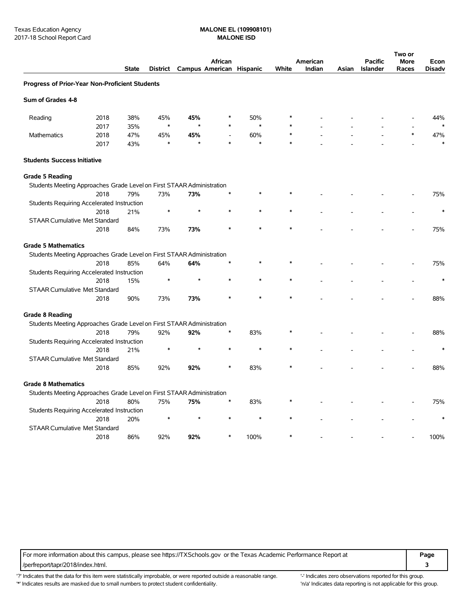|                                                                       |      |              |                 |         |              |                          |        |                    |       |                                   | Two or        |                       |
|-----------------------------------------------------------------------|------|--------------|-----------------|---------|--------------|--------------------------|--------|--------------------|-------|-----------------------------------|---------------|-----------------------|
|                                                                       |      | <b>State</b> | <b>District</b> |         | African      | Campus American Hispanic | White  | American<br>Indian | Asian | <b>Pacific</b><br><b>Islander</b> | More<br>Races | Econ<br><b>Disadv</b> |
|                                                                       |      |              |                 |         |              |                          |        |                    |       |                                   |               |                       |
| Progress of Prior-Year Non-Proficient Students                        |      |              |                 |         |              |                          |        |                    |       |                                   |               |                       |
| Sum of Grades 4-8                                                     |      |              |                 |         |              |                          |        |                    |       |                                   |               |                       |
| Reading                                                               | 2018 | 38%          | 45%             | 45%     | $\ast$       | 50%                      | $\ast$ |                    |       |                                   |               | 44%                   |
|                                                                       | 2017 | 35%          | $\ast$          | $\star$ | $\ast$       | $\ast$                   | $\ast$ |                    |       |                                   |               | $\ast$                |
| <b>Mathematics</b>                                                    | 2018 | 47%          | 45%             | 45%     |              | 60%                      |        |                    |       |                                   |               | 47%                   |
|                                                                       | 2017 | 43%          | $\ast$          |         | $\mathbf{r}$ | $\ast$                   |        |                    |       |                                   |               |                       |
| <b>Students Success Initiative</b>                                    |      |              |                 |         |              |                          |        |                    |       |                                   |               |                       |
| <b>Grade 5 Reading</b>                                                |      |              |                 |         |              |                          |        |                    |       |                                   |               |                       |
| Students Meeting Approaches Grade Level on First STAAR Administration |      |              |                 |         |              |                          |        |                    |       |                                   |               |                       |
|                                                                       | 2018 | 79%          | 73%             | 73%     |              |                          |        |                    |       |                                   |               | 75%                   |
| Students Requiring Accelerated Instruction                            |      |              |                 |         |              |                          |        |                    |       |                                   |               |                       |
|                                                                       | 2018 | 21%          | $\ast$          | $\star$ | $\ast$       | $\ast$                   | $\ast$ |                    |       |                                   |               | $\ast$                |
| STAAR Cumulative Met Standard                                         |      |              |                 |         |              |                          |        |                    |       |                                   |               |                       |
|                                                                       | 2018 | 84%          | 73%             | 73%     | $\ast$       |                          |        |                    |       |                                   |               | 75%                   |
| <b>Grade 5 Mathematics</b>                                            |      |              |                 |         |              |                          |        |                    |       |                                   |               |                       |
| Students Meeting Approaches Grade Level on First STAAR Administration |      |              |                 |         |              |                          |        |                    |       |                                   |               |                       |
|                                                                       | 2018 | 85%          | 64%             | 64%     | ×            |                          | $\ast$ |                    |       |                                   |               | 75%                   |
| Students Requiring Accelerated Instruction                            |      |              |                 |         |              |                          |        |                    |       |                                   |               |                       |
|                                                                       | 2018 | 15%          | $\ast$          |         | $\ast$       |                          |        |                    |       |                                   |               |                       |
| <b>STAAR Cumulative Met Standard</b>                                  |      |              |                 |         |              |                          |        |                    |       |                                   |               |                       |
|                                                                       | 2018 | 90%          | 73%             | 73%     |              |                          |        |                    |       |                                   |               | 88%                   |
| <b>Grade 8 Reading</b>                                                |      |              |                 |         |              |                          |        |                    |       |                                   |               |                       |
| Students Meeting Approaches Grade Level on First STAAR Administration |      |              |                 |         |              |                          |        |                    |       |                                   |               |                       |
|                                                                       | 2018 | 79%          | 92%             | 92%     |              | 83%                      |        |                    |       |                                   |               | 88%                   |
| Students Requiring Accelerated Instruction                            |      |              |                 |         |              |                          |        |                    |       |                                   |               |                       |
|                                                                       | 2018 | 21%          | *               |         |              | $\ast$                   | $\ast$ |                    |       |                                   |               |                       |
| <b>STAAR Cumulative Met Standard</b>                                  |      |              |                 |         |              |                          |        |                    |       |                                   |               |                       |
|                                                                       | 2018 | 85%          | 92%             | 92%     | $\ast$       | 83%                      | $\ast$ |                    |       |                                   |               | 88%                   |
| <b>Grade 8 Mathematics</b>                                            |      |              |                 |         |              |                          |        |                    |       |                                   |               |                       |
| Students Meeting Approaches Grade Level on First STAAR Administration |      |              |                 |         |              |                          |        |                    |       |                                   |               |                       |
|                                                                       | 2018 | 80%          | 75%             | 75%     |              | 83%                      |        |                    |       |                                   |               | 75%                   |
| Students Requiring Accelerated Instruction                            |      |              |                 |         |              |                          |        |                    |       |                                   |               |                       |
|                                                                       | 2018 | 20%          | 4               |         |              | $\ast$                   |        |                    |       |                                   |               |                       |
| <b>STAAR Cumulative Met Standard</b>                                  |      |              |                 |         |              |                          |        |                    |       |                                   |               |                       |
|                                                                       | 2018 | 86%          | 92%             | 92%     | $\ast$       | 100%                     | *      |                    |       |                                   |               | 100%                  |

For more information about this campus, please see https://TXSchools.gov or the Texas Academic Performance Report at **Page** /perfreport/tapr/2018/index.html. **3**

'?' Indicates that the data for this item were statistically improbable, or were reported outside a reasonable range. "Indicates zero observations reported for this group.

'\*' Indicates results are masked due to small numbers to protect student confidentiality. 
"n/a' Indicates data reporting is not applicable for this group.